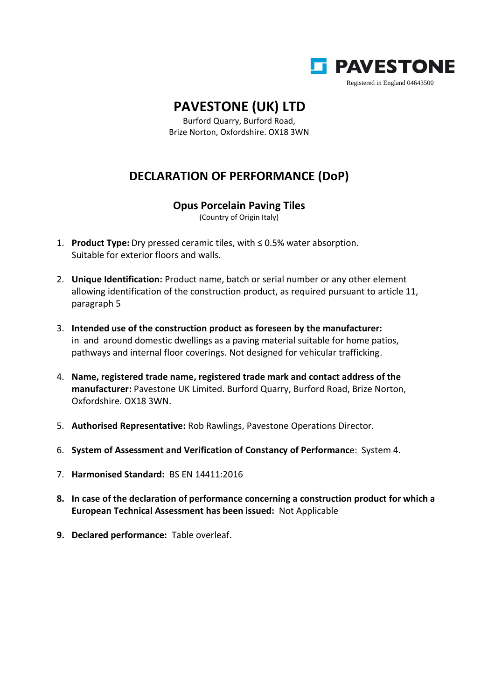

## **PAVESTONE (UK) LTD**

Burford Quarry, Burford Road, Brize Norton, Oxfordshire. OX18 3WN

## **DECLARATION OF PERFORMANCE (DoP)**

## **Opus Porcelain Paving Tiles**

(Country of Origin Italy)

- 1. **Product Type:** Dry pressed ceramic tiles, with ≤ 0.5% water absorption. Suitable for exterior floors and walls.
- 2. **Unique Identification:** Product name, batch or serial number or any other element allowing identification of the construction product, as required pursuant to article 11, paragraph 5
- 3. **Intended use of the construction product as foreseen by the manufacturer:** in and around domestic dwellings as a paving material suitable for home patios, pathways and internal floor coverings. Not designed for vehicular trafficking.
- 4. **Name, registered trade name, registered trade mark and contact address of the manufacturer:** Pavestone UK Limited. Burford Quarry, Burford Road, Brize Norton, Oxfordshire. OX18 3WN.
- 5. **Authorised Representative:** Rob Rawlings, Pavestone Operations Director.
- 6. **System of Assessment and Verification of Constancy of Performanc**e: System 4.
- 7. **Harmonised Standard:** BS EN 14411:2016
- **8. In case of the declaration of performance concerning a construction product for which a European Technical Assessment has been issued:** Not Applicable
- **9. Declared performance:** Table overleaf.